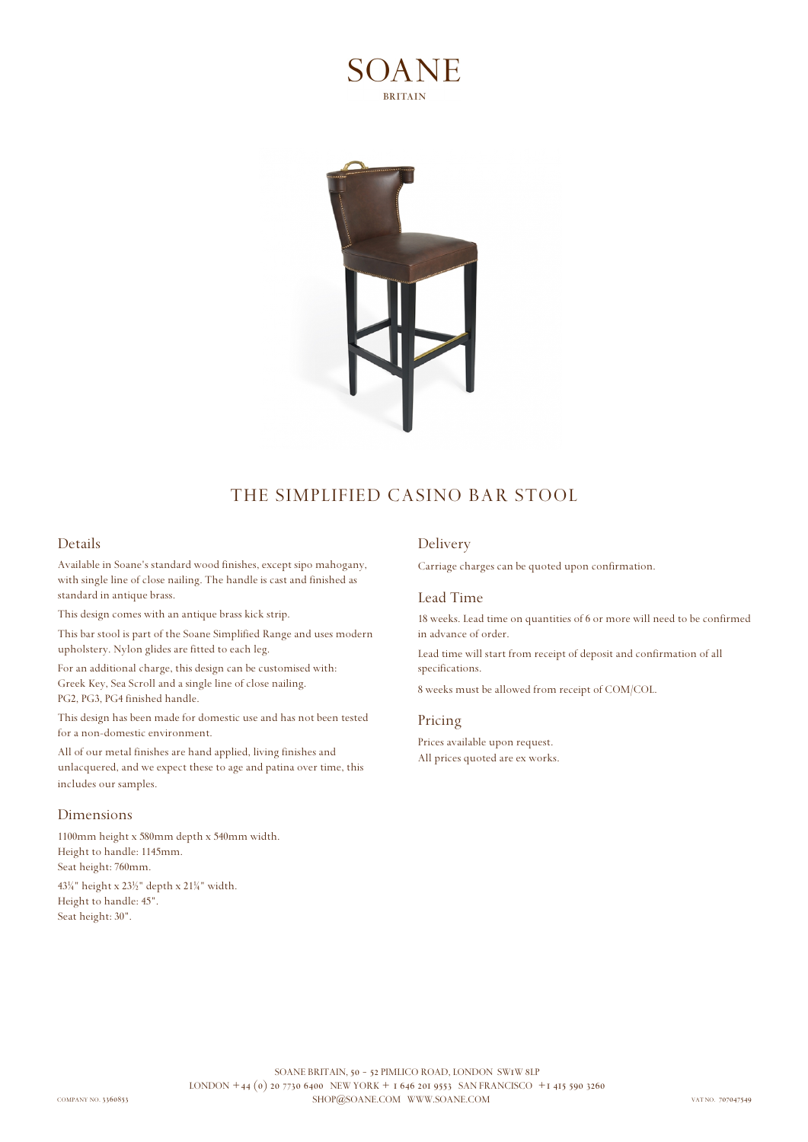



# THE SIMPLIFIED CASINO BAR STOOL

### **Details**

Available in Soane's standard wood finishes, except sipo mahogany, with single line of close nailing. The handle is cast and finished as standard in antique brass.

This design comes with an antique brass kick strip.

This bar stool is part of the Soane Simplified Range and uses modern upholstery. Nylon glides are fitted to each leg.

For an additional charge, this design can be customised with: Greek Key, Sea Scroll and a single line of close nailing. PG2, PG3, PG4 finished handle.

This design has been made for domestic use and has not been tested for a non-domestic environment.

All of our metal finishes are hand applied, living finishes and unlacquered, and we expect these to age and patina over time, this includes our samples.

### **Dimensions**

1100mm height x 580mm depth x 540mm width. Height to handle: 1145mm. Seat height: 760mm.

43¼" height x 23½" depth x 21¼" width. Height to handle: 45". Seat height: 30".

## **Delivery**

Carriage charges can be quoted upon confirmation.

#### **Lead Time**

18 weeks. Lead time on quantities of 6 or more will need to be confirmed in advance of order.

Lead time will start from receipt of deposit and confirmation of all specifications.

8 weeks must be allowed from receipt of COM/COL.

# **Pricing**

Prices available upon request. All prices quoted are ex works.